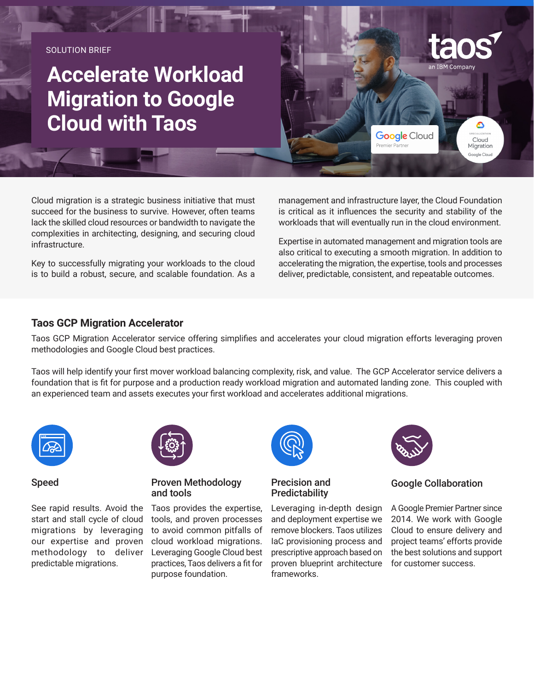SOLUTION BRIFF

# **Accelerate Workload Migration to Google Cloud with Taos**

Cloud migration is a strategic business initiative that must succeed for the business to survive. However, often teams lack the skilled cloud resources or bandwidth to navigate the complexities in architecting, designing, and securing cloud infrastructure.

Key to successfully migrating your workloads to the cloud is to build a robust, secure, and scalable foundation. As a management and infrastructure layer, the Cloud Foundation is critical as it influences the security and stability of the workloads that will eventually run in the cloud environment.

Premier Partner

**Google** Cloud

in IBM Company

۵

Cloud

Migration .<br>Google Clou

Expertise in automated management and migration tools are also critical to executing a smooth migration. In addition to accelerating the migration, the expertise, tools and processes deliver, predictable, consistent, and repeatable outcomes.

#### **Taos GCP Migration Accelerator**

Taos GCP Migration Accelerator service offering simplifies and accelerates your cloud migration efforts leveraging proven methodologies and Google Cloud best practices.

Taos will help identify your first mover workload balancing complexity, risk, and value. The GCP Accelerator service delivers a foundation that is fit for purpose and a production ready workload migration and automated landing zone. This coupled with an experienced team and assets executes your first workload and accelerates additional migrations.



#### Speed

See rapid results. Avoid the start and stall cycle of cloud migrations by leveraging our expertise and proven methodology to deliver predictable migrations.



#### Proven Methodology and tools

Taos provides the expertise, tools, and proven processes to avoid common pitfalls of cloud workload migrations. Leveraging Google Cloud best practices, Taos delivers a fit for purpose foundation.



Precision and **Predictability** 

Leveraging in-depth design and deployment expertise we remove blockers. Taos utilizes IaC provisioning process and prescriptive approach based on proven blueprint architecture frameworks.



### Google Collaboration

A Google Premier Partner since 2014. We work with Google Cloud to ensure delivery and project teams' efforts provide the best solutions and support for customer success.